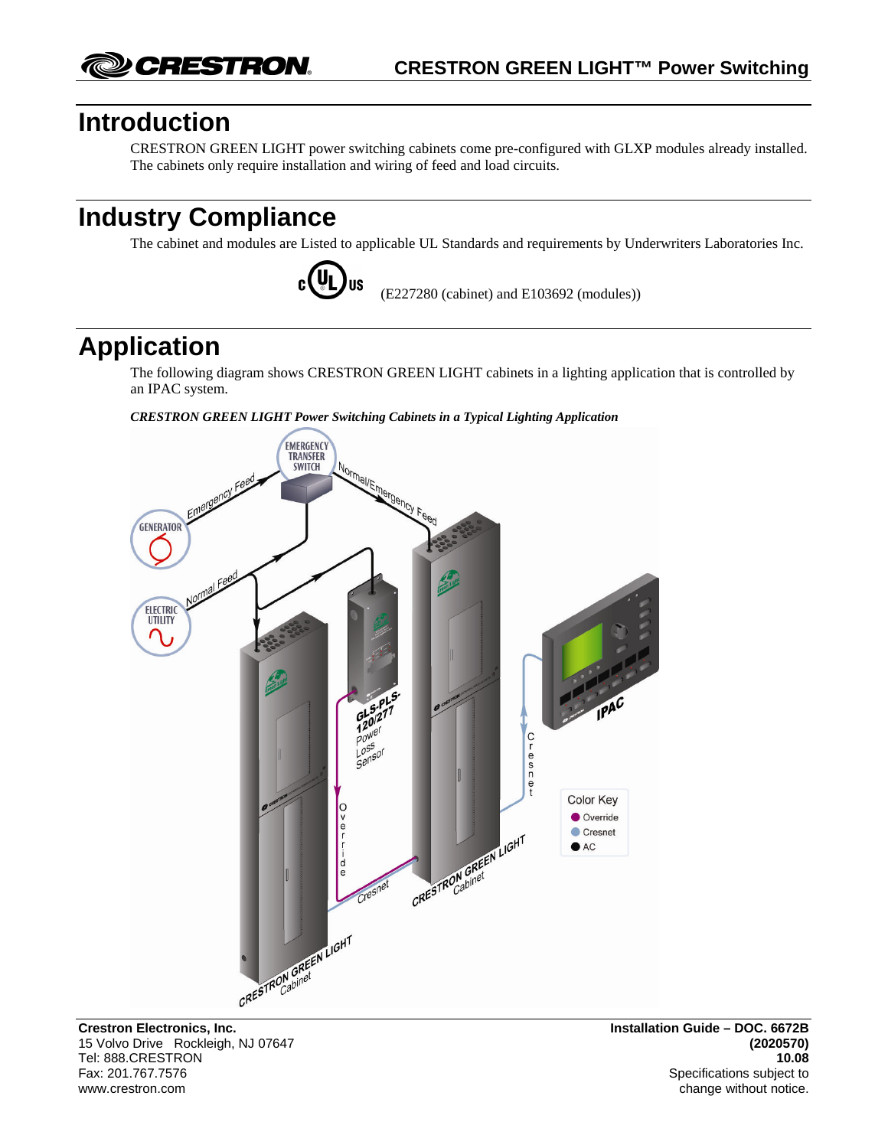CRESTRON.

## **Introduction**

CRESTRON GREEN LIGHT power switching cabinets come pre-configured with GLXP modules already installed. The cabinets only require installation and wiring of feed and load circuits.

# **Industry Compliance**

The cabinet and modules are Listed to applicable UL Standards and requirements by Underwriters Laboratories Inc.



(E227280 (cabinet) and E103692 (modules))

# **Application**

The following diagram shows CRESTRON GREEN LIGHT cabinets in a lighting application that is controlled by an IPAC system.

*CRESTRON GREEN LIGHT Power Switching Cabinets in a Typical Lighting Application* 



15 Volvo Drive Rockleigh, NJ 07647 **(2020570)** Tel: 888.CRESTRON **10.08** Fax: 201.767.7576Specifications subject to

change without notice.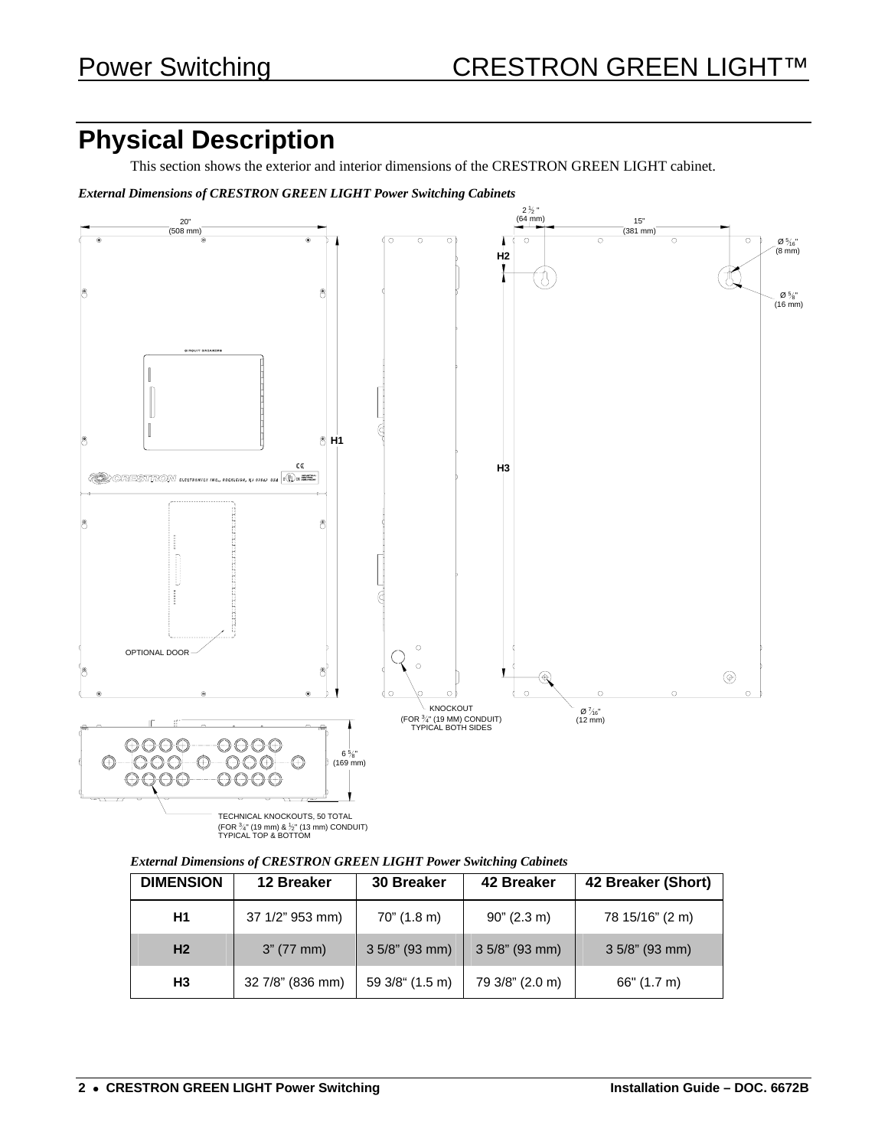# **Physical Description**

This section shows the exterior and interior dimensions of the CRESTRON GREEN LIGHT cabinet.

*External Dimensions of CRESTRON GREEN LIGHT Power Switching Cabinets* 



(FOR ¾" (19 mm) & ½" (13 mm) CONDUIT)<br>TYPICAL TOP & BOTTOM

| <b>External Dimensions of CRESTRON GREEN LIGHT Power Switching Cabinets</b> |  |  |  |
|-----------------------------------------------------------------------------|--|--|--|
|                                                                             |  |  |  |

| <b>DIMENSION</b> | 12 Breaker       | <b>30 Breaker</b> | 42 Breaker       | 42 Breaker (Short) |
|------------------|------------------|-------------------|------------------|--------------------|
| Н1               | 37 1/2" 953 mm)  | $70$ " (1.8 m)    | 90" (2.3 m)      | 78 15/16" (2 m)    |
| H <sub>2</sub>   | 3" (77 mm)       | $3.5/8$ " (93 mm) | $35/8$ " (93 mm) | $3.5/8$ " (93 mm)  |
| Н3               | 32 7/8" (836 mm) | 59 3/8" (1.5 m)   | 79 3/8" (2.0 m)  | 66" (1.7 m)        |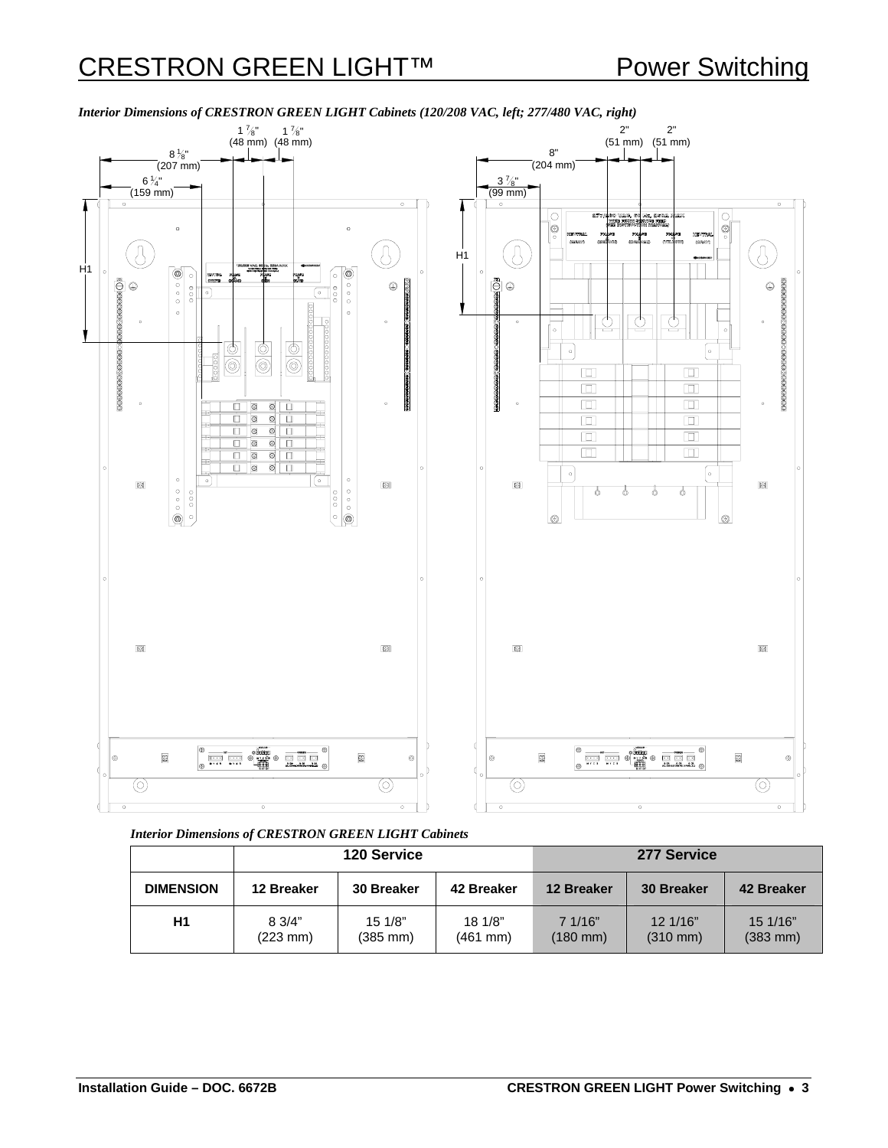

*Interior Dimensions of CRESTRON GREEN LIGHT Cabinets (120/208 VAC, left; 277/480 VAC, right)* 

*Interior Dimensions of CRESTRON GREEN LIGHT Cabinets*

|                  | <b>120 Service</b>                    |                                | 277 Service         |                     |                                |                                  |
|------------------|---------------------------------------|--------------------------------|---------------------|---------------------|--------------------------------|----------------------------------|
| <b>DIMENSION</b> | 12 Breaker                            | 30 Breaker                     | 42 Breaker          | 12 Breaker          | <b>30 Breaker</b>              | 42 Breaker                       |
| Η1               | $8 \frac{3}{4}$<br>$(223 \text{ mm})$ | 151/8"<br>$(385 \, \text{mm})$ | 18 1/8"<br>(461 mm) | 7.1/16"<br>(180 mm) | 12.1/16"<br>$(310 \text{ mm})$ | 15 1/16"<br>$(383 \, \text{mm})$ |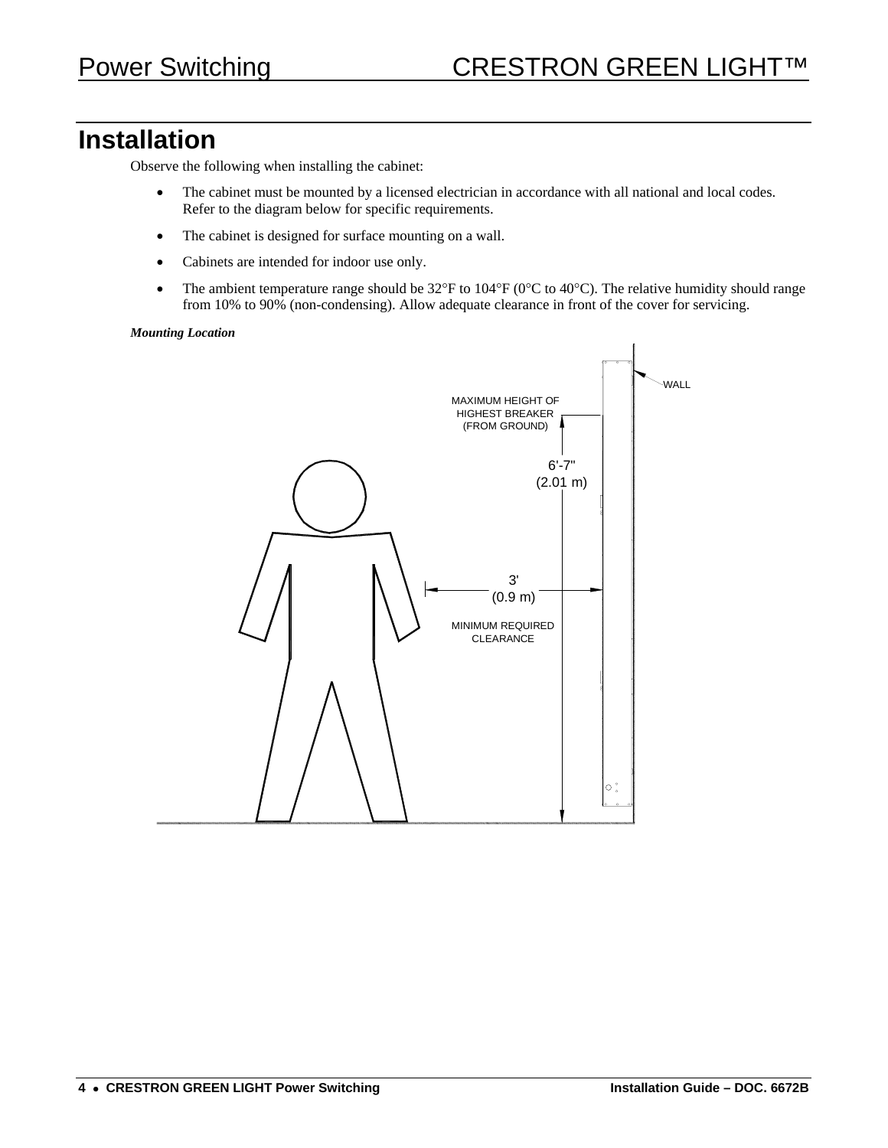## **Installation**

Observe the following when installing the cabinet:

- The cabinet must be mounted by a licensed electrician in accordance with all national and local codes. Refer to the diagram below for specific requirements.
- The cabinet is designed for surface mounting on a wall.
- Cabinets are intended for indoor use only.
- The ambient temperature range should be  $32^{\circ}F$  to  $104^{\circ}F$  (0 $^{\circ}C$  to 40 $^{\circ}C$ ). The relative humidity should range from 10% to 90% (non-condensing). Allow adequate clearance in front of the cover for servicing.

#### *Mounting Location*

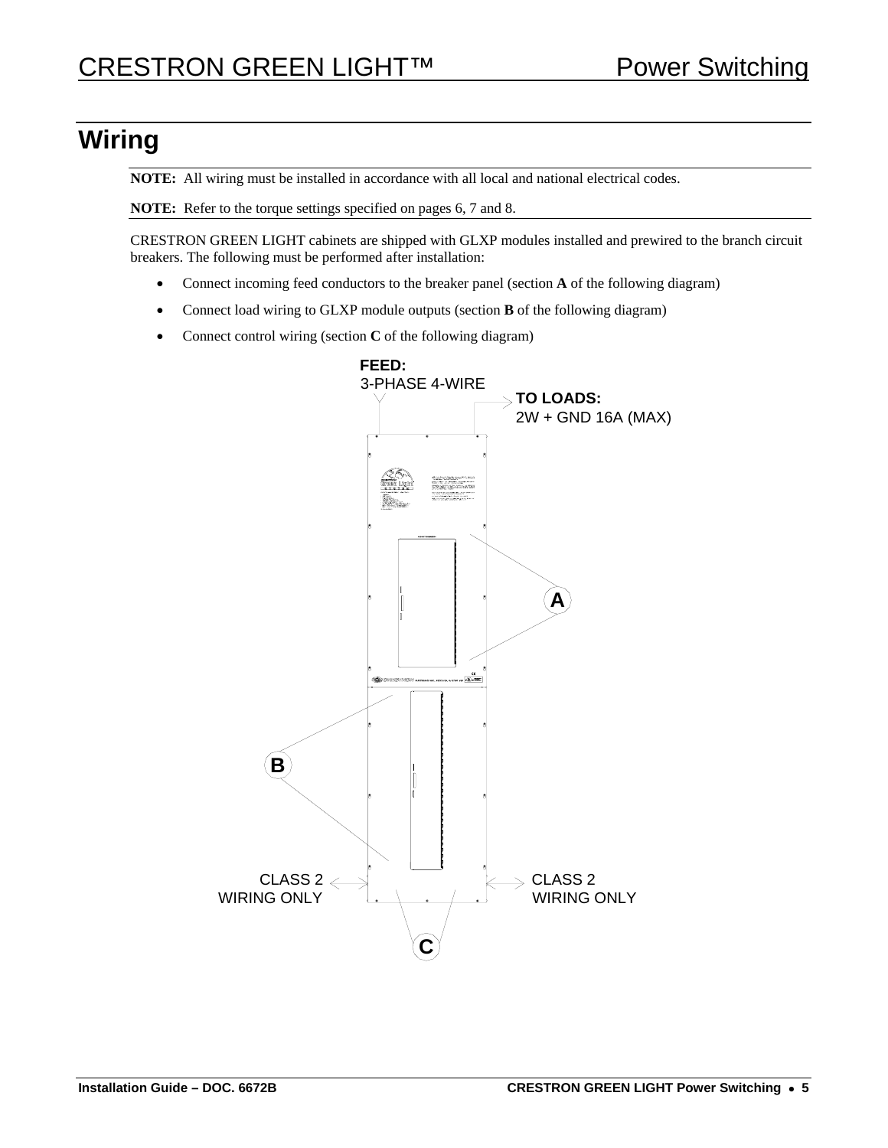# <span id="page-4-0"></span>**Wiring**

**NOTE:** All wiring must be installed in accordance with all local and national electrical codes.

**NOTE:** Refer to the torque settings specified on pages [6,](#page-5-0) [7](#page-6-0) and [8.](#page-7-0)

CRESTRON GREEN LIGHT cabinets are shipped with GLXP modules installed and prewired to the branch circuit breakers. The following must be performed after installation:

- Connect incoming feed conductors to the breaker panel (section **A** of the following diagram)
- Connect load wiring to GLXP module outputs (section **B** of the following diagram)
- Connect control wiring (section **C** of the following diagram)

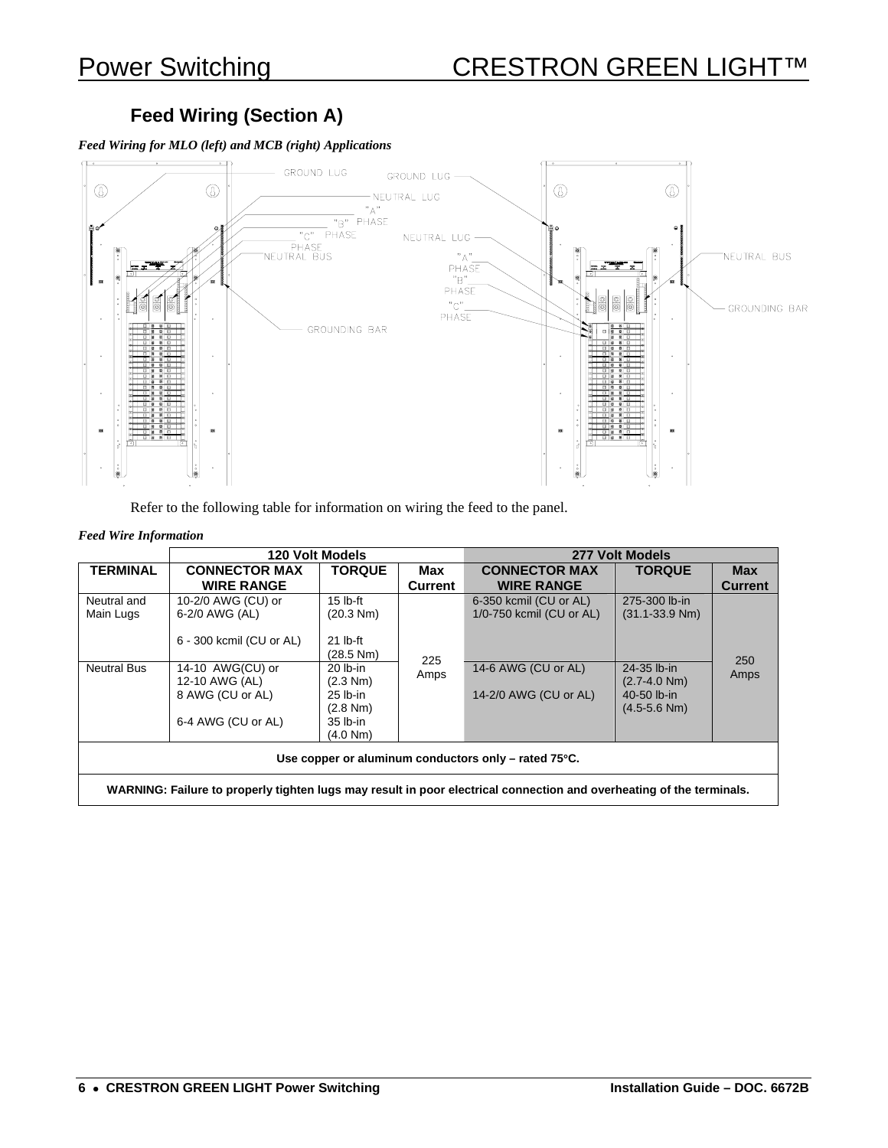## **Feed Wiring (Section A)**

*Feed Wiring for MLO (left) and MCB (right) Applications* 



Refer to the following table for information on wiring the feed to the panel.

#### <span id="page-5-0"></span>*Feed Wire Information*

|                                                                                                                      |                                                        | 120 Volt Models                                            |                | 277 Volt Models                                    |                                                                    |                              |
|----------------------------------------------------------------------------------------------------------------------|--------------------------------------------------------|------------------------------------------------------------|----------------|----------------------------------------------------|--------------------------------------------------------------------|------------------------------|
| <b>TERMINAL</b>                                                                                                      | <b>CONNECTOR MAX</b><br><b>WIRE RANGE</b>              | <b>TORQUE</b>                                              | Max<br>Current | <b>CONNECTOR MAX</b><br><b>WIRE RANGE</b>          | <b>TORQUE</b>                                                      | <b>Max</b><br><b>Current</b> |
| Neutral and<br>Main Lugs                                                                                             | 10-2/0 AWG (CU) or<br>6-2/0 AWG (AL)                   | $15$ lb-ft<br>(20.3 Nm)                                    |                | 6-350 kcmil (CU or AL)<br>1/0-750 kcmil (CU or AL) | 275-300 lb-in<br>$(31.1 - 33.9$ Nm)                                |                              |
|                                                                                                                      | 6 - 300 kcmil (CU or AL)                               | $21$ lb-ft<br>(28.5 Nm)                                    | 225            |                                                    |                                                                    | 250                          |
| <b>Neutral Bus</b>                                                                                                   | 14-10 AWG(CU) or<br>12-10 AWG (AL)<br>8 AWG (CU or AL) | $20$ lb-in<br>$(2.3 \text{ Nm})$<br>$25$ lb-in<br>(2.8 Nm) | Amps           | 14-6 AWG (CU or AL)<br>14-2/0 AWG (CU or AL)       | 24-35 lb-in<br>$(2.7 - 4.0$ Nm)<br>40-50 lb-in<br>$(4.5 - 5.6$ Nm) | Amps                         |
|                                                                                                                      | 6-4 AWG (CU or AL)                                     | $35$ lb-in<br>(4.0 Nm)                                     |                |                                                    |                                                                    |                              |
| Use copper or aluminum conductors only – rated 75°C.                                                                 |                                                        |                                                            |                |                                                    |                                                                    |                              |
| WARNING: Failure to properly tighten lugs may result in poor electrical connection and overheating of the terminals. |                                                        |                                                            |                |                                                    |                                                                    |                              |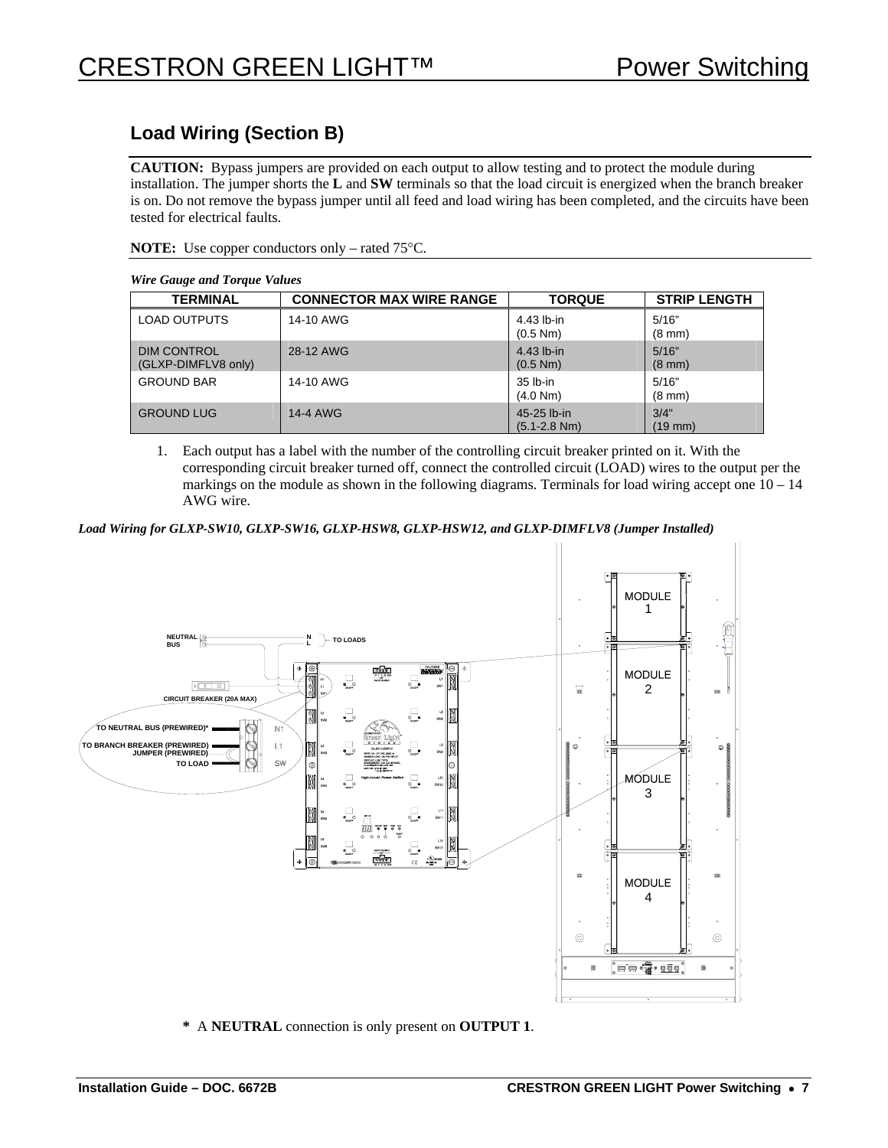## **Load Wiring (Section B)**

**CAUTION:** Bypass jumpers are provided on each output to allow testing and to protect the module during installation. The jumper shorts the **L** and **SW** terminals so that the load circuit is energized when the branch breaker is on. Do not remove the bypass jumper until all feed and load wiring has been completed, and the circuits have been tested for electrical faults.

#### **NOTE:** Use copper conductors only – rated 75°C.

#### *Wire Gauge and Torque Values*

<span id="page-6-0"></span>

| <b>TERMINAL</b>                           | <b>CONNECTOR MAX WIRE RANGE</b> | <b>TORQUE</b>                   | <b>STRIP LENGTH</b>       |  |  |
|-------------------------------------------|---------------------------------|---------------------------------|---------------------------|--|--|
| <b>LOAD OUTPUTS</b>                       | 14-10 AWG                       | 4.43 lb-in<br>(0.5 Nm)          | 5/16"<br>$(8 \text{ mm})$ |  |  |
| <b>DIM CONTROL</b><br>(GLXP-DIMFLV8 only) | 28-12 AWG                       | 4.43 lb-in<br>(0.5 Nm)          | 5/16"<br>$(8 \text{ mm})$ |  |  |
| <b>GROUND BAR</b>                         | 14-10 AWG                       | 35 lb-in<br>(4.0 Nm)            | 5/16"<br>$(8 \text{ mm})$ |  |  |
| <b>GROUND LUG</b>                         | 14-4 AWG                        | 45-25 lb-in<br>$(5.1 - 2.8$ Nm) | 3/4"<br>(19 mm)           |  |  |

1. Each output has a label with the number of the controlling circuit breaker printed on it. With the corresponding circuit breaker turned off, connect the controlled circuit (LOAD) wires to the output per the markings on the module as shown in the following diagrams. Terminals for load wiring accept one  $10 - 14$ AWG wire.

*Load Wiring for GLXP-SW10, GLXP-SW16, GLXP-HSW8, GLXP-HSW12, and GLXP-DIMFLV8 (Jumper Installed)* 



**\*** A **NEUTRAL** connection is only present on **OUTPUT 1**.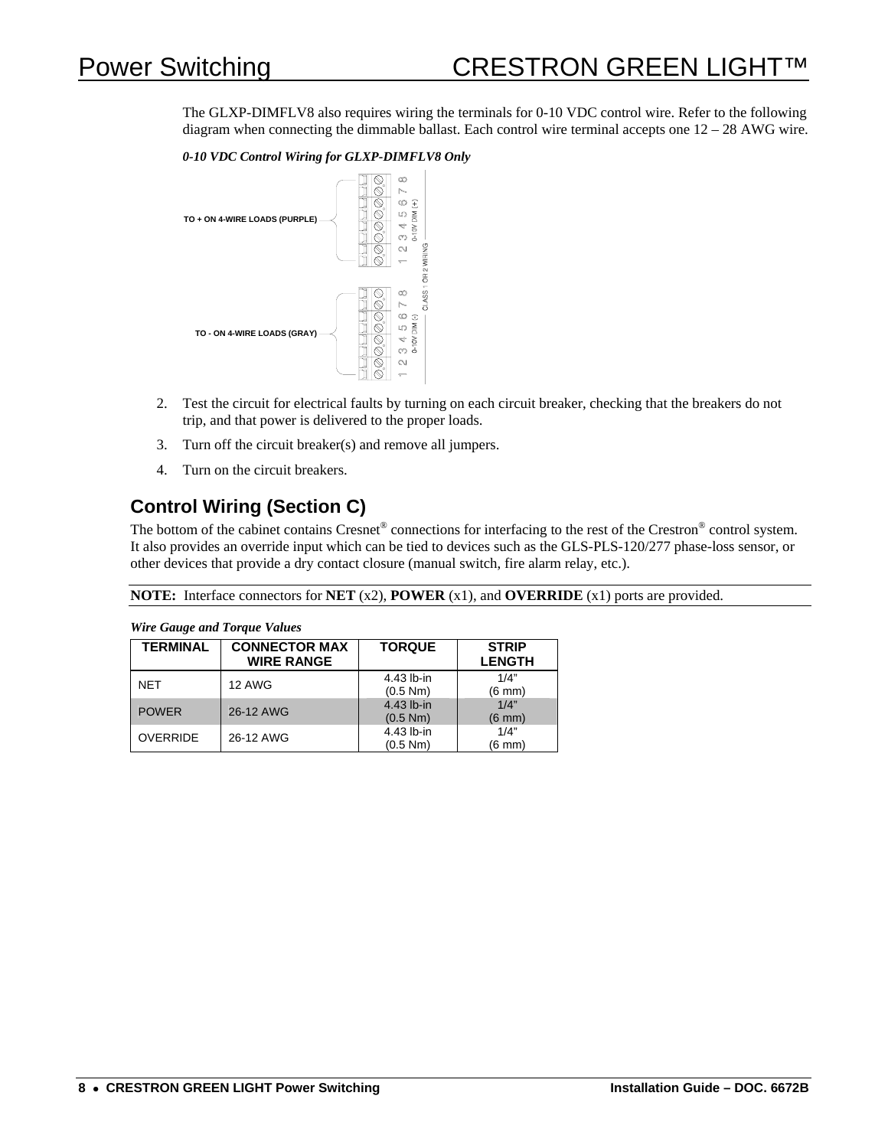# Power Switching CRESTRON GREEN LIGHT

The GLXP-DIMFLV8 also requires wiring the terminals for 0-10 VDC control wire. Refer to the following diagram when connecting the dimmable ballast. Each control wire terminal accepts one 12 – 28 AWG wire.

*0-10 VDC Control Wiring for GLXP-DIMFLV8 Only*



- 2. Test the circuit for electrical faults by turning on each circuit breaker, checking that the breakers do not trip, and that power is delivered to the proper loads.
- 3. Turn off the circuit breaker(s) and remove all jumpers.
- 4. Turn on the circuit breakers.

## **Control Wiring (Section C)**

The bottom of the cabinet contains Cresnet<sup>®</sup> connections for interfacing to the rest of the Crestron<sup>®</sup> control system. It also provides an override input which can be tied to devices such as the GLS-PLS-120/277 phase-loss sensor, or other devices that provide a dry contact closure (manual switch, fire alarm relay, etc.).

**NOTE:** Interface connectors for **NET** (x2), **POWER** (x1), and **OVERRIDE** (x1) ports are provided.

<span id="page-7-0"></span>

| <i>may sample and rorger radios</i> |                                       |            |                  |  |  |
|-------------------------------------|---------------------------------------|------------|------------------|--|--|
| <b>TERMINAL</b>                     | <b>CONNECTOR MAX</b><br><b>TORQUE</b> |            | <b>STRIP</b>     |  |  |
|                                     | <b>WIRE RANGE</b>                     |            | <b>LENGTH</b>    |  |  |
| <b>NET</b>                          | <b>12 AWG</b>                         | 4.43 lb-in | 1/4"             |  |  |
|                                     |                                       | (0.5 Nm)   | $(6 \text{ mm})$ |  |  |
| <b>POWER</b>                        | 26-12 AWG                             | 4.43 lb-in | 1/4"             |  |  |
|                                     |                                       | (0.5 Nm)   | $(6 \text{ mm})$ |  |  |
| <b>OVERRIDE</b>                     | 26-12 AWG                             | 4.43 lb-in | 1/4"             |  |  |
|                                     |                                       | (0.5 Nm)   | (6 mm)           |  |  |

#### *Wire Gauge and Torque Values*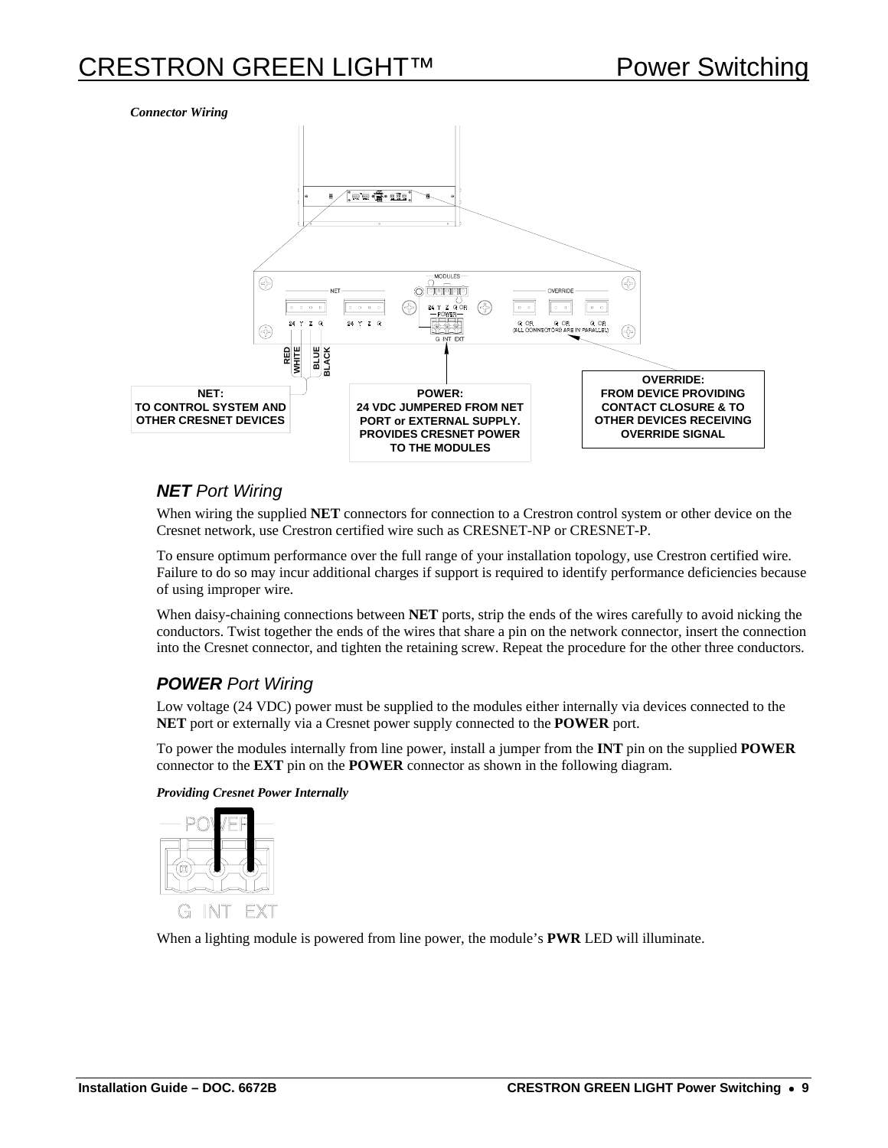#### *Connector Wiring*



#### *NET Port Wiring*

When wiring the supplied **NET** connectors for connection to a Crestron control system or other device on the Cresnet network, use Crestron certified wire such as CRESNET-NP or CRESNET-P.

To ensure optimum performance over the full range of your installation topology, use Crestron certified wire. Failure to do so may incur additional charges if support is required to identify performance deficiencies because of using improper wire.

When daisy-chaining connections between **NET** ports, strip the ends of the wires carefully to avoid nicking the conductors. Twist together the ends of the wires that share a pin on the network connector, insert the connection into the Cresnet connector, and tighten the retaining screw. Repeat the procedure for the other three conductors.

#### *POWER Port Wiring*

Low voltage (24 VDC) power must be supplied to the modules either internally via devices connected to the **NET** port or externally via a Cresnet power supply connected to the **POWER** port.

To power the modules internally from line power, install a jumper from the **INT** pin on the supplied **POWER** connector to the **EXT** pin on the **POWER** connector as shown in the following diagram.

#### *Providing Cresnet Power Internally*



When a lighting module is powered from line power, the module's **PWR** LED will illuminate.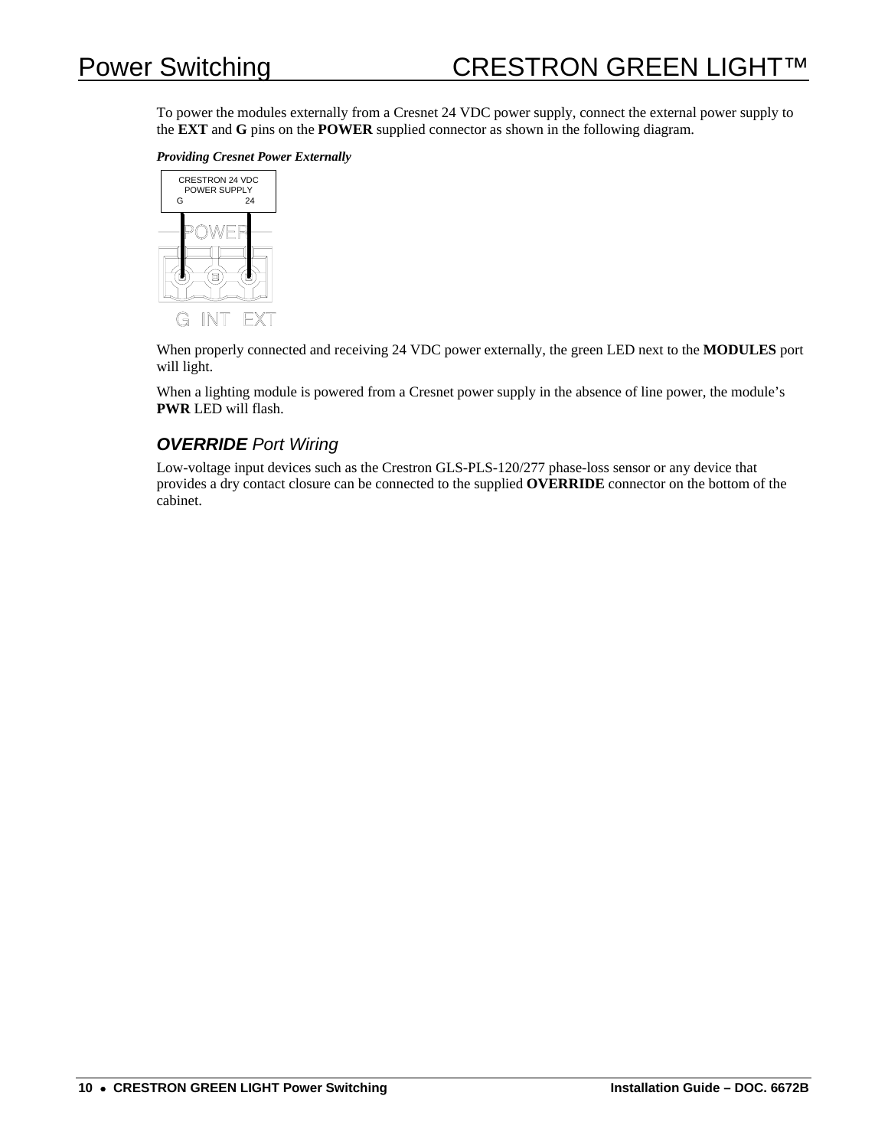To power the modules externally from a Cresnet 24 VDC power supply, connect the external power supply to the **EXT** and **G** pins on the **POWER** supplied connector as shown in the following diagram.

*Providing Cresnet Power Externally* 



When properly connected and receiving 24 VDC power externally, the green LED next to the **MODULES** port will light.

When a lighting module is powered from a Cresnet power supply in the absence of line power, the module's **PWR** LED will flash.

#### *OVERRIDE Port Wiring*

Low-voltage input devices such as the Crestron GLS-PLS-120/277 phase-loss sensor or any device that provides a dry contact closure can be connected to the supplied **OVERRIDE** connector on the bottom of the cabinet.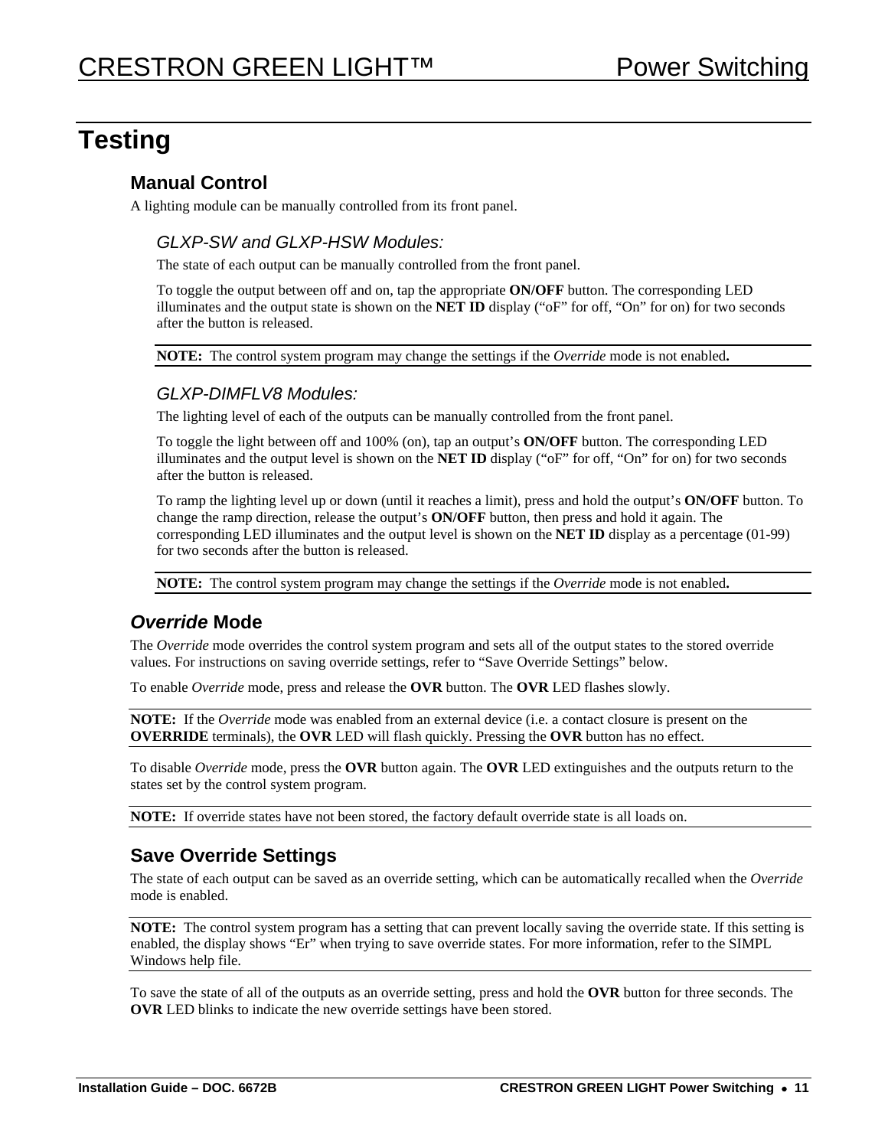# <span id="page-10-1"></span>**Testing**

### **Manual Control**

A lighting module can be manually controlled from its front panel.

#### *GLXP-SW and GLXP-HSW Modules:*

The state of each output can be manually controlled from the front panel.

To toggle the output between off and on, tap the appropriate **ON/OFF** button. The corresponding LED illuminates and the output state is shown on the **NET ID** display ("oF" for off, "On" for on) for two seconds after the button is released.

**NOTE:** The control system program may change the settings if the *Override* mode is not enabled**.** 

#### *GLXP-DIMFLV8 Modules:*

The lighting level of each of the outputs can be manually controlled from the front panel.

To toggle the light between off and 100% (on), tap an output's **ON/OFF** button. The corresponding LED illuminates and the output level is shown on the **NET ID** display ("oF" for off, "On" for on) for two seconds after the button is released.

To ramp the lighting level up or down (until it reaches a limit), press and hold the output's **ON/OFF** button. To change the ramp direction, release the output's **ON/OFF** button, then press and hold it again. The corresponding LED illuminates and the output level is shown on the **NET ID** display as a percentage (01-99) for two seconds after the button is released.

**NOTE:** The control system program may change the settings if the *Override* mode is not enabled**.** 

### *Override* **Mode**

The *Override* mode overrides the control system program and sets all of the output states to the stored override values. For instructions on saving override settings, refer to "[Save Override](#page-10-0) Settings" [below.](#page-10-0)

To enable *Override* mode, press and release the **OVR** button. The **OVR** LED flashes slowly.

**NOTE:** If the *Override* mode was enabled from an external device (i.e. a contact closure is present on the **OVERRIDE** terminals), the **OVR** LED will flash quickly. Pressing the **OVR** button has no effect.

To disable *Override* mode, press the **OVR** button again. The **OVR** LED extinguishes and the outputs return to the states set by the control system program.

**NOTE:** If override states have not been stored, the factory default override state is all loads on.

### <span id="page-10-0"></span>**Save Override Settings**

The state of each output can be saved as an override setting, which can be automatically recalled when the *Override* mode is enabled.

**NOTE:** The control system program has a setting that can prevent locally saving the override state. If this setting is enabled, the display shows "Er" when trying to save override states. For more information, refer to the SIMPL Windows help file.

To save the state of all of the outputs as an override setting, press and hold the **OVR** button for three seconds. The **OVR** LED blinks to indicate the new override settings have been stored.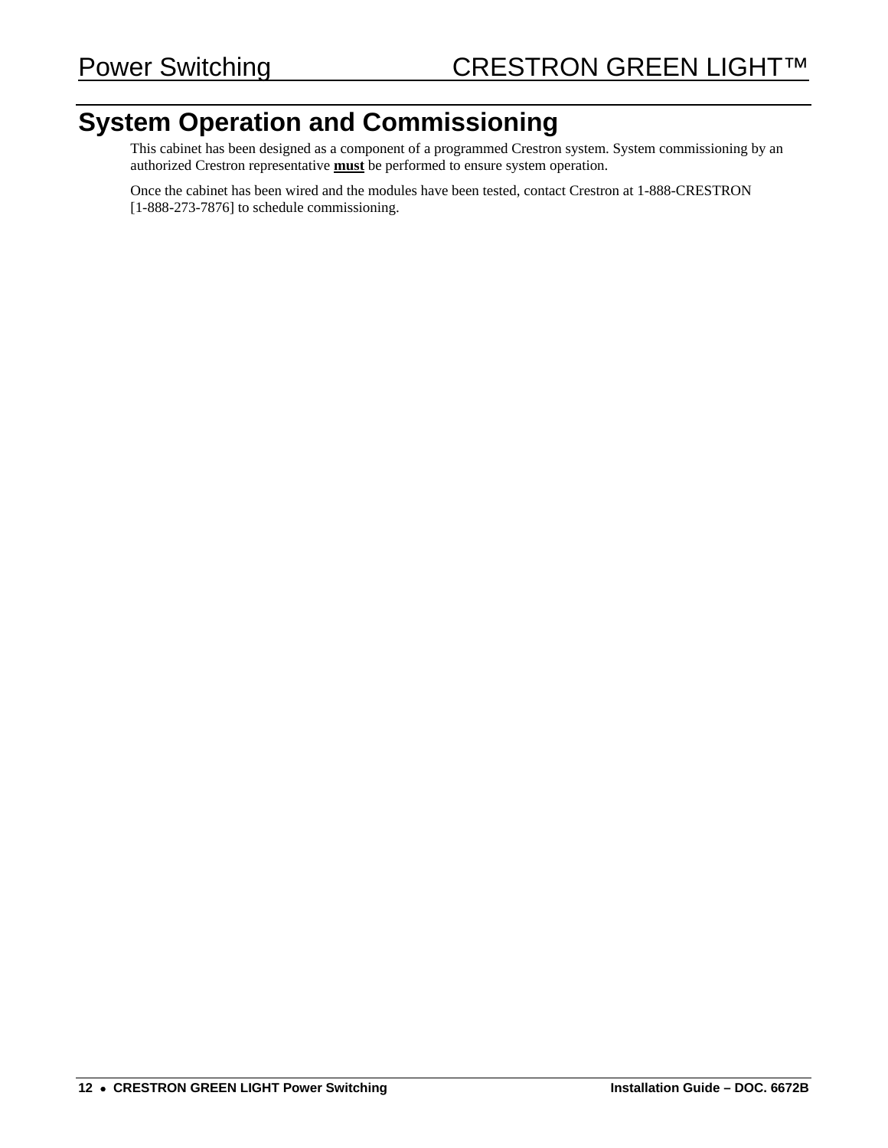# **System Operation and Commissioning**

This cabinet has been designed as a component of a programmed Crestron system. System commissioning by an authorized Crestron representative **must** be performed to ensure system operation.

Once the cabinet has been wired and the modules have been tested, contact Crestron at 1-888-CRESTRON [1-888-273-7876] to schedule commissioning.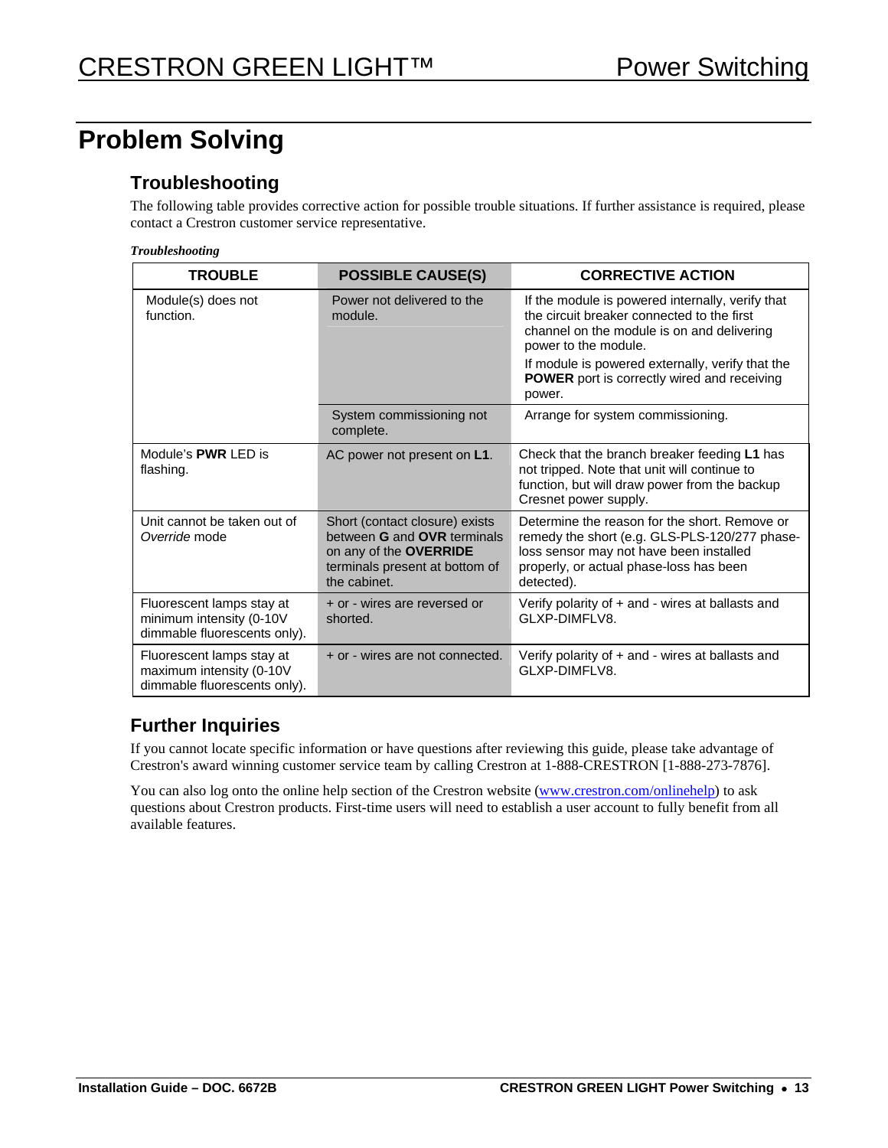# **Problem Solving**

### **Troubleshooting**

The following table provides corrective action for possible trouble situations. If further assistance is required, please contact a Crestron customer service representative.

|  | <b>Troubleshooting</b> |
|--|------------------------|
|  |                        |

| <b>TROUBLE</b>                                                                        | <b>POSSIBLE CAUSE(S)</b>                                                                                                                                | <b>CORRECTIVE ACTION</b>                                                                                                                                                                           |
|---------------------------------------------------------------------------------------|---------------------------------------------------------------------------------------------------------------------------------------------------------|----------------------------------------------------------------------------------------------------------------------------------------------------------------------------------------------------|
| Module(s) does not<br>function.                                                       | Power not delivered to the<br>module.                                                                                                                   | If the module is powered internally, verify that<br>the circuit breaker connected to the first<br>channel on the module is on and delivering<br>power to the module.                               |
|                                                                                       |                                                                                                                                                         | If module is powered externally, verify that the<br><b>POWER</b> port is correctly wired and receiving<br>power.                                                                                   |
|                                                                                       | System commissioning not<br>complete.                                                                                                                   | Arrange for system commissioning.                                                                                                                                                                  |
| Module's <b>PWR</b> LED is<br>flashing.                                               | AC power not present on L1.                                                                                                                             | Check that the branch breaker feeding L1 has<br>not tripped. Note that unit will continue to<br>function, but will draw power from the backup<br>Cresnet power supply.                             |
| Unit cannot be taken out of<br>Override mode                                          | Short (contact closure) exists<br>between <b>G</b> and <b>OVR</b> terminals<br>on any of the OVERRIDE<br>terminals present at bottom of<br>the cabinet. | Determine the reason for the short. Remove or<br>remedy the short (e.g. GLS-PLS-120/277 phase-<br>loss sensor may not have been installed<br>properly, or actual phase-loss has been<br>detected). |
| Fluorescent lamps stay at<br>minimum intensity (0-10V<br>dimmable fluorescents only). | + or - wires are reversed or<br>shorted.                                                                                                                | Verify polarity of + and - wires at ballasts and<br>GLXP-DIMFLV8.                                                                                                                                  |
| Fluorescent lamps stay at<br>maximum intensity (0-10V<br>dimmable fluorescents only). | + or - wires are not connected.                                                                                                                         | Verify polarity of + and - wires at ballasts and<br>GLXP-DIMFLV8.                                                                                                                                  |

### **Further Inquiries**

If you cannot locate specific information or have questions after reviewing this guide, please take advantage of Crestron's award winning customer service team by calling Crestron at 1-888-CRESTRON [1-888-273-7876].

You can also log onto the online help section of the Crestron website [\(www.crestron.com/onlinehelp\)](http://www.crestron.com/onlinehelp) to ask questions about Crestron products. First-time users will need to establish a user account to fully benefit from all available features.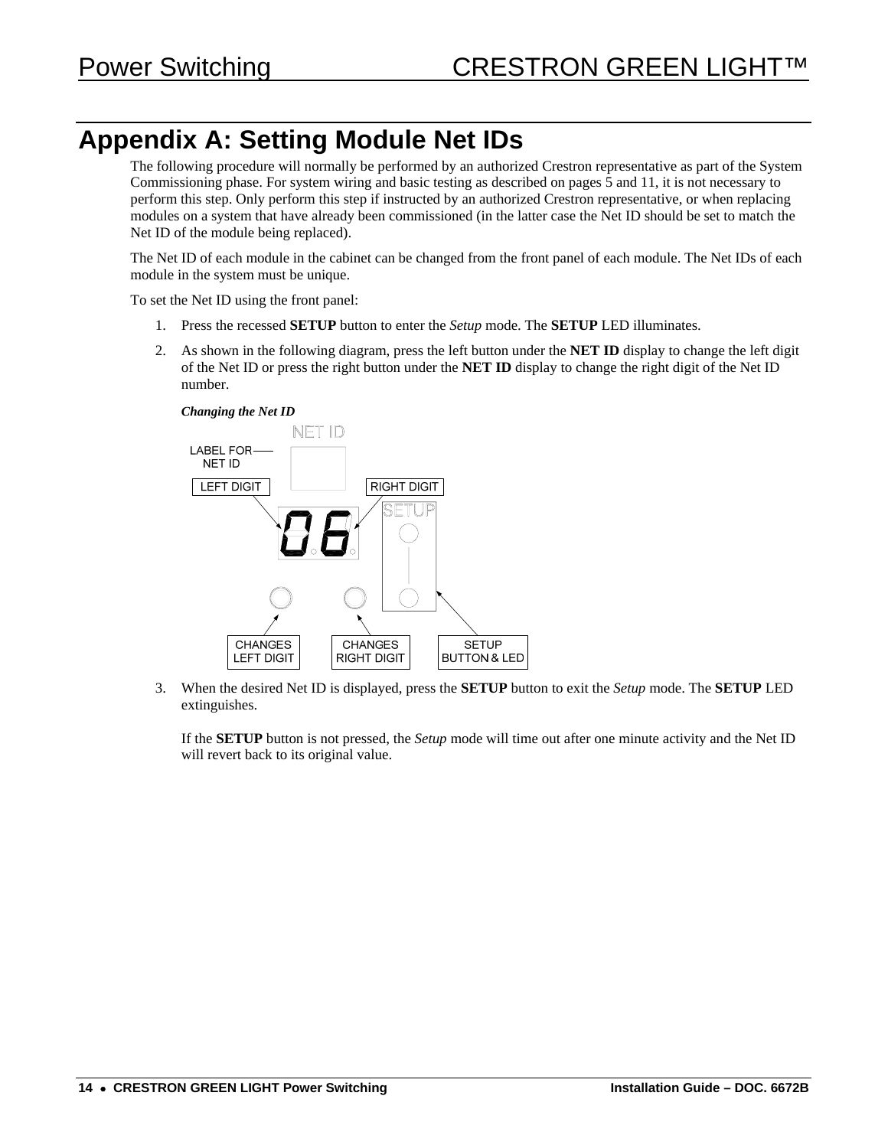# **Appendix A: Setting Module Net IDs**

The following procedure will normally be performed by an authorized Crestron representative as part of the System Commissioning phase. For system wiring and basic testing as described on pages [5](#page-4-0) and [11,](#page-10-1) it is not necessary to perform this step. Only perform this step if instructed by an authorized Crestron representative, or when replacing modules on a system that have already been commissioned (in the latter case the Net ID should be set to match the Net ID of the module being replaced).

The Net ID of each module in the cabinet can be changed from the front panel of each module. The Net IDs of each module in the system must be unique.

To set the Net ID using the front panel:

- 1. Press the recessed **SETUP** button to enter the *Setup* mode. The **SETUP** LED illuminates.
- 2. As shown in the following diagram, press the left button under the **NET ID** display to change the left digit of the Net ID or press the right button under the **NET ID** display to change the right digit of the Net ID number.



3. When the desired Net ID is displayed, press the **SETUP** button to exit the *Setup* mode. The **SETUP** LED extinguishes.

If the **SETUP** button is not pressed, the *Setup* mode will time out after one minute activity and the Net ID will revert back to its original value.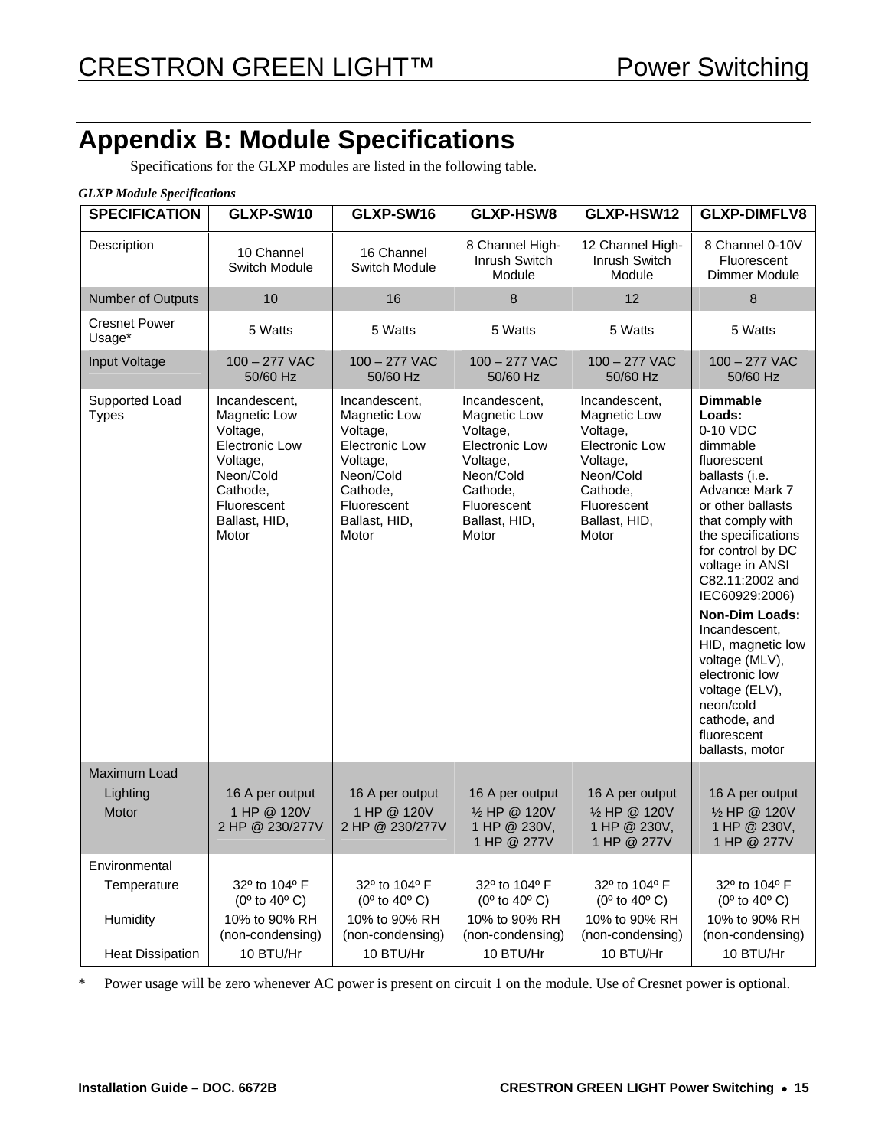# **Appendix B: Module Specifications**

Specifications for the GLXP modules are listed in the following table.

#### *GLXP Module Specifications*

| <b>SPECIFICATION</b>           | GLXP-SW10                                                                                                                                 | GLXP-SW16                                                                                                                                        | GLXP-HSW8                                                                                                                                        | GLXP-HSW12                                                                                                                                       | <b>GLXP-DIMFLV8</b>                                                                                                                                                                                                                                                                                                                                                                                                                  |
|--------------------------------|-------------------------------------------------------------------------------------------------------------------------------------------|--------------------------------------------------------------------------------------------------------------------------------------------------|--------------------------------------------------------------------------------------------------------------------------------------------------|--------------------------------------------------------------------------------------------------------------------------------------------------|--------------------------------------------------------------------------------------------------------------------------------------------------------------------------------------------------------------------------------------------------------------------------------------------------------------------------------------------------------------------------------------------------------------------------------------|
| Description                    | 10 Channel<br>Switch Module                                                                                                               | 16 Channel<br>Switch Module                                                                                                                      | 8 Channel High-<br><b>Inrush Switch</b><br>Module                                                                                                | 12 Channel High-<br>Inrush Switch<br>Module                                                                                                      | 8 Channel 0-10V<br>Fluorescent<br>Dimmer Module                                                                                                                                                                                                                                                                                                                                                                                      |
| Number of Outputs              | 10                                                                                                                                        | 16                                                                                                                                               | 8                                                                                                                                                | 12                                                                                                                                               | 8                                                                                                                                                                                                                                                                                                                                                                                                                                    |
| <b>Cresnet Power</b><br>Usage* | 5 Watts                                                                                                                                   | 5 Watts                                                                                                                                          | 5 Watts                                                                                                                                          | 5 Watts                                                                                                                                          | 5 Watts                                                                                                                                                                                                                                                                                                                                                                                                                              |
| <b>Input Voltage</b>           | $100 - 277$ VAC<br>50/60 Hz                                                                                                               | $100 - 277$ VAC<br>50/60 Hz                                                                                                                      | $100 - 277$ VAC<br>50/60 Hz                                                                                                                      | $100 - 277$ VAC<br>50/60 Hz                                                                                                                      | $100 - 277$ VAC<br>50/60 Hz                                                                                                                                                                                                                                                                                                                                                                                                          |
| Supported Load<br><b>Types</b> | Incandescent.<br>Magnetic Low<br>Voltage,<br>Electronic Low<br>Voltage,<br>Neon/Cold<br>Cathode,<br>Fluorescent<br>Ballast, HID,<br>Motor | Incandescent,<br>Magnetic Low<br>Voltage,<br><b>Electronic Low</b><br>Voltage,<br>Neon/Cold<br>Cathode,<br>Fluorescent<br>Ballast, HID,<br>Motor | Incandescent,<br>Magnetic Low<br>Voltage,<br><b>Electronic Low</b><br>Voltage,<br>Neon/Cold<br>Cathode,<br>Fluorescent<br>Ballast, HID,<br>Motor | Incandescent,<br>Magnetic Low<br>Voltage,<br><b>Electronic Low</b><br>Voltage,<br>Neon/Cold<br>Cathode,<br>Fluorescent<br>Ballast, HID,<br>Motor | <b>Dimmable</b><br>Loads:<br>0-10 VDC<br>dimmable<br>fluorescent<br>ballasts (i.e.<br>Advance Mark 7<br>or other ballasts<br>that comply with<br>the specifications<br>for control by DC<br>voltage in ANSI<br>C82.11:2002 and<br>IEC60929:2006)<br><b>Non-Dim Loads:</b><br>Incandescent,<br>HID, magnetic low<br>voltage (MLV),<br>electronic low<br>voltage (ELV),<br>neon/cold<br>cathode, and<br>fluorescent<br>ballasts, motor |
| <b>Maximum Load</b>            |                                                                                                                                           |                                                                                                                                                  |                                                                                                                                                  |                                                                                                                                                  |                                                                                                                                                                                                                                                                                                                                                                                                                                      |
| Lighting<br>Motor              | 16 A per output<br>1 HP @ 120V<br>2 HP @ 230/277V                                                                                         | 16 A per output<br>1 HP @ 120V<br>2 HP @ 230/277V                                                                                                | 16 A per output<br>1/2 HP @ 120V<br>1 HP @ 230V,<br>1 HP @ 277V                                                                                  | 16 A per output<br>1/2 HP @ 120V<br>1 HP @ 230V,<br>1 HP @ 277V                                                                                  | 16 A per output<br>1/2 HP @ 120V<br>1 HP @ 230V,<br>1 HP @ 277V                                                                                                                                                                                                                                                                                                                                                                      |
| Environmental                  |                                                                                                                                           |                                                                                                                                                  |                                                                                                                                                  |                                                                                                                                                  |                                                                                                                                                                                                                                                                                                                                                                                                                                      |
| Temperature                    | 32° to 104° F<br>$(0^{\circ}$ to 40 $^{\circ}$ C)                                                                                         | 32º to 104º F<br>$(0^{\circ}$ to 40 $^{\circ}$ C)                                                                                                | 32° to 104° F<br>$(0^{\circ}$ to 40° C)                                                                                                          | 32° to 104° F<br>$(0^{\circ}$ to 40 $^{\circ}$ C)                                                                                                | 32° to 104° F<br>$(0^{\circ}$ to 40 $^{\circ}$ C)                                                                                                                                                                                                                                                                                                                                                                                    |
| Humidity                       | 10% to 90% RH<br>(non-condensing)                                                                                                         | 10% to 90% RH<br>(non-condensing)                                                                                                                | 10% to 90% RH<br>(non-condensing)                                                                                                                | 10% to 90% RH<br>(non-condensing)                                                                                                                | 10% to 90% RH<br>(non-condensing)                                                                                                                                                                                                                                                                                                                                                                                                    |
| <b>Heat Dissipation</b>        | 10 BTU/Hr                                                                                                                                 | 10 BTU/Hr                                                                                                                                        | 10 BTU/Hr                                                                                                                                        | 10 BTU/Hr                                                                                                                                        | 10 BTU/Hr                                                                                                                                                                                                                                                                                                                                                                                                                            |

\* Power usage will be zero whenever AC power is present on circuit 1 on the module. Use of Cresnet power is optional.